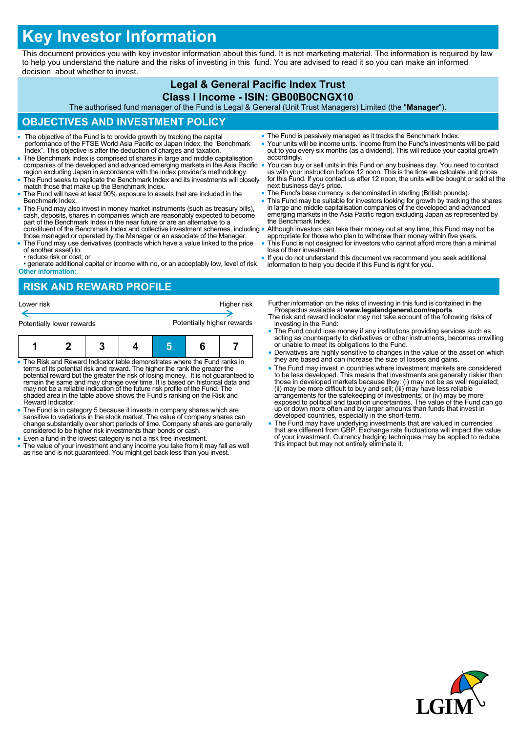# **Key Investor Information**

This document provides you with key investor information about this fund. It is not marketing material. The information is required by law to help you understand the nature and the risks of investing in this fund. You are advised to read it so you can make an informed decision about whether to invest.

### **Legal & General Pacific Index Trust Class I Income - ISIN: GB00B0CNGX10**

The authorised fund manager of the Fund is Legal & General (Unit Trust Managers) Limited (the "**Manager**").

# **OBJECTIVES AND INVESTMENT POLICY**

- The objective of the Fund is to provide growth by tracking the capital performance of the FTSE World Asia Pacific ex Japan Index, the "Benchmark Index". This objective is after the deduction of charges and taxation.
- The Benchmark Index is comprised of shares in large and middle capitalisation companies of the developed and advanced emerging markets in the Asia Pacific region excluding Japan in accordance with the index provider's methodology.
- The Fund seeks to replicate the Benchmark Index and its investments will closely match those that make up the Benchmark Index.
- The Fund will have at least 90% exposure to assets that are included in the Benchmark Index.
- The Fund may also invest in money market instruments (such as treasury bills), cash, deposits, shares in companies which are reasonably expected to become part of the Benchmark Index in the near future or are an alternat constituent of the Benchmark Index and collective investment schemes, including
- those managed or operated by the Manager or an associate of the Manager. The Fund may use derivatives (contracts which have a value linked to the price of another asset) to:
- reduce risk or cost; or

• generate additional capital or income with no, or an acceptably low, level of risk. **Other information:**

- The Fund is passively managed as it tracks the Benchmark Index.
- Your units will be income units. Income from the Fund's investments will be paid out to you every six months (as a dividend). This will reduce your capital growth accordingly.
- You can buy or sell units in this Fund on any business day. You need to contact us with your instruction before 12 noon. This is the time we calculate unit prices for this Fund. If you contact us after 12 noon, the units will be bought or sold at the next business day's price.
- The Fund's base currency is denominated in sterling (British pounds).
- This Fund may be suitable for investors looking for growth by tracking the shares in large and middle capitalisation companies of the developed and advanced emerging markets in the Asia Pacific region excluding Japan as represented by the Benchmark Index.
- Although investors can take their money out at any time, this Fund may not be appropriate for those who plan to withdraw their money within five years.
- This Fund is not designed for investors who cannot afford more than a minimal loss of their investment.
- If you do not understand this document we recommend you seek additional information to help you decide if this Fund is right for you.

# **RISK AND REWARD PROFILE**



- The Risk and Reward Indicator table demonstrates where the Fund ranks in terms of its potential risk and reward. The higher the rank the greater the potential reward but the greater the risk of losing money. It is not guaranteed to remain the same and may change over time. It is based on historical data and may not be a reliable indication of the future risk profile of the Fund. The shaded area in the table above shows the Fund's ranking on the Risk and Reward Indicator.
- The Fund is in category 5 because it invests in company shares which are sensitive to variations in the stock market. The value of company shares can change substantially over short periods of time. Company shares are generally considered to be higher risk investments than bonds or cash.
- Even a fund in the lowest category is not a risk free investment.
- The value of your investment and any income you take from it may fall as well as rise and is not guaranteed. You might get back less than you invest.
- Further information on the risks of investing in this fund is contained in the Prospectus available at **www.legalandgeneral.com/reports**.
- The risk and reward indicator may not take account of the following risks of investing in the Fund: The Fund could lose money if any institutions providing services such as
- acting as counterparty to derivatives or other instruments, becomes unwilling or unable to meet its obligations to the Fund.
- Derivatives are highly sensitive to changes in the value of the asset on which they are based and can increase the size of losses and gains.
- The Fund may invest in countries where investment markets are considered to be less developed. This means that investments are generally riskier than<br>those in developed markets because they: (i) may not be as well regulated;<br>(ii) may be more difficult to buy and sell; (iii) may have less reliab exposed to political and taxation uncertainties. The value of the Fund can go up or down more often and by larger amounts than funds that invest in developed countries, especially in the short-term.
- The Fund may have underlying investments that are valued in currencies that are different from GBP. Exchange rate fluctuations will impact the value of your investment. Currency hedging techniques may be applied to reduce this impact but may not entirely eliminate it.